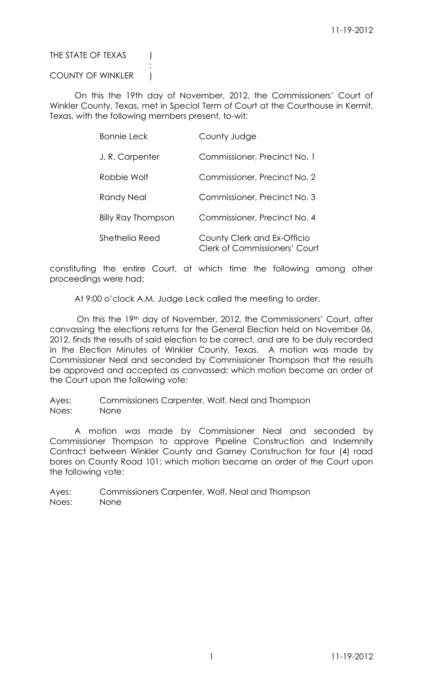# THE STATE OF TEXAS (

# COUNTY OF WINKLER |

:

On this the 19th day of November, 2012, the Commissioners' Court of Winkler County, Texas, met in Special Term of Court at the Courthouse in Kermit, Texas, with the following members present, to-wit:

| <b>Bonnie Leck</b>        | County Judge                                                        |
|---------------------------|---------------------------------------------------------------------|
| J.R. Carpenter            | Commissioner, Precinct No. 1                                        |
| Robbie Wolf               | Commissioner, Precinct No. 2                                        |
| Randy Neal                | Commissioner, Precinct No. 3                                        |
| <b>Billy Ray Thompson</b> | Commissioner, Precinct No. 4                                        |
| Shethelia Reed            | County Clerk and Ex-Officio<br><b>Clerk of Commissioners' Court</b> |

constituting the entire Court, at which time the following among other proceedings were had:

At 9:00 o'clock A.M. Judge Leck called the meeting to order.

On this the 19th day of November, 2012, the Commissioners' Court, after canvassing the elections returns for the General Election held on November 06, 2012, finds the results of said election to be correct, and are to be duly recorded in the Election Minutes of Winkler County, Texas. A motion was made by Commissioner Neal and seconded by Commissioner Thompson that the results be approved and accepted as canvassed; which motion became an order of the Court upon the following vote:

Ayes: Commissioners Carpenter, Wolf, Neal and Thompson Noes: None

A motion was made by Commissioner Neal and seconded by Commissioner Thompson to approve Pipeline Construction and Indemnity Contract between Winkler County and Garney Construction for four (4) road bores on County Road 101; which motion became an order of the Court upon the following vote:

Ayes: Commissioners Carpenter, Wolf, Neal and Thompson Noes: None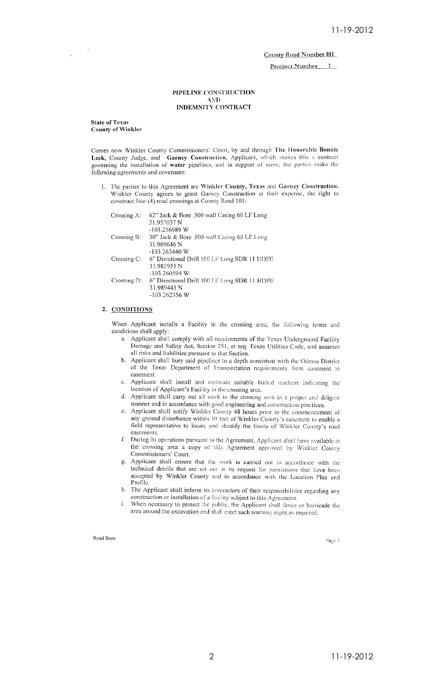Precinct Number 1

### PIPELINE CONSTRUCTION **AND INDEMNITY CONTRACT**

State of Texas **County of Winkler** 

Comes now Winkler County Commissioners' Court, by and through The Honorable Bonnie Leck, County Judge, and Garney Construction, Applicant, which makes this a contract governing the installation of water pipelines, and in support of same, the parties make the following agreements and covenants:

1. The parties to this Agreement are Winkler County, Texas and Garney Construction. Winkler County agrees to grant Garney Construction at their expense, the right to construct four (4) road crossings at County Road 101:

| Crossing A: | 42" Jack & Bore .500 wall Casing 60 LF Long  |
|-------------|----------------------------------------------|
|             | 31.957037 N                                  |
|             | $-103.256989$ W                              |
| Crossing B: | 30" Jack & Bore .500 wall Casing 60 LF Long  |
|             | 31.969646 N                                  |
|             | -103.263440 W                                |
| Crossing C: | 6" Directional Drill 100 LF Long SDR 11 HDPE |
|             | 31.982955 N                                  |
|             | $-103.260594$ W                              |
| Crossing D: | 6" Directional Drill 100 LF Long SDR 11 HDPE |
|             | 31.989443 N                                  |
|             | $-103.262356$ W                              |
|             |                                              |

# 2. CONDITIONS

When Applicant installs a Facility in the crossing area, the following terms and conditions shall apply:

- a. Applicant shall comply with all requirements of the Texas Underground Facility Damage and Safety Act, Section 251, et seq. Texas Utilities Code, and assumes all risks and liabilities pursuant to that Section.
- b. Applicant shall bury said pipelines to a depth consistent with the Odessa District of the Texas Department of Transportation requirements from casement to easement.
- Applicant shall install and maintain suitable buried markers indicating the  $c_{\perp}$ location of Applicant's Facility in the crossing area.
- d. Applicant shall carry out all work in the crossing area in a proper and diligent manner and in accordance with good engineering and construction practices.
- e. Applicant shall notify Winkler County 48 hours prior to the commencement of any ground disturbance within 30 feet of Winkler County's easement to enable a field representative to locate and identify the limits of Winkler County's road easements.
- f. During its operations pursuant to the Agreement, Applicant shall have available at the crossing area a copy of this Agreement approved by Winkler County Commissioners' Court.
- Applicant shall ensure that the work is carried out in accordance with the technical details that are set out in its request for permission that have been<br>accepted by Winkler County and in accordance with the Location Plan and Profile.
- h. The Applicant shall inform its contractors of their responsibilities regarding any construction or installation of a facility subject to this Agreement.
- i. When necessary to protect the public, the Applicant shall fence or barricade the area around the excavation and shall crect such warning signs as required.

Road Bore

Page 1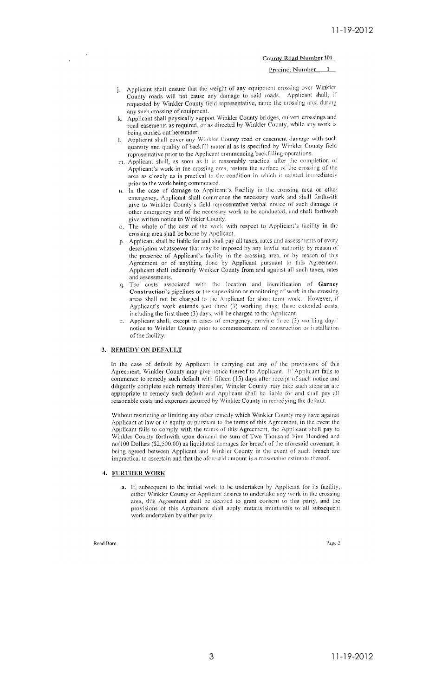### Precinct Number 1

- j. Applicant shall ensure that the weight of any equipment crossing over Winkler County roads will not cause any damage to said roads. Applicant shall, if requested by Winkler County field representative, ramp the crossing area during any such crossing of equipment.
- k. Applicant shall physically support Winkler County bridges, culvert crossings and road easements as required, or as directed by Winkler County, while any work is being carried out hereunder.
- Applicant shall cover any Winkler County road or easement damage with such  $\mathbf{L}$ quantity and quality of backfill material as is specified by Winkler County field representative prior to the Applicant commencing backfilling operations
- m. Applicant shall, as soon as it is reasonably practical after the completion of Applicant's work in the crossing area, restore the surface of the crossing of the area as closely as is practical to the condition in which it existed immediately prior to the work being commenced.
- n. In the case of damage to Applicant's Facility in the crossing area or other emergency, Applicant shall commence the necessary work and shall forthwith give to Winkler County's field representative verbal notice of such damage or other emergency and of the necessary work to be conducted, and shall forthwith give written notice to Winkler County.<br>
o. The whole of the cost of the work with respect to Applicant's facility in the
- crossing area shall be borne by Applicant.
- p. Applicant shall be liable for and shall pay all taxes, rates and assessments of every description whatsoever that may be imposed by any lawful authority by reason of the presence of Applicant's facility in the crossing area, or by reason of this Agreement or of anything done by Applicant pursuant to this Agreement. Applicant shall indemnify Winkler County from and against all such taxes, rates and assessments.
- The costs associated with the location and identification of Garney Construction's pipelines or the supervision or monitoring of work in the crossing areas shall not be charged to the Applicant for short term work. However, if Applicant's work extends past three (3) working days, these extended costs, including the first three (3) days, will be charged to the Applicant.
- Applicant shall, except in cases of emergency, provide three (3) working days' notice to Winkler County prior to commencement of construction or installation of the facility.

### 3. REMEDY ON DEFAULT

In the case of default by Applicant in carrying out any of the provisions of this Agreement, Winkler County may give notice thereof to Applicant. If Applicant fails to commence to remedy such default with fifteen (15) days after receipt of such notice and diligently complete such remedy thereafter, Winkler County may take such steps as are appropriate to remedy such default and Applicant shall be liable for and shall pay all reasonable costs and expenses incurred by Winkler County in remedying the default.

Without restricting or limiting any other remedy which Winkler County may have against Applicant at law or in equity or pursuant to the terms of this Agreement, in the event the Applicant fails to comply with the terms of this Agreement, the Applicant shall pay to Winkler County forthwith upon demand the sum of Two Thousand Five Hundred and no/100 Dollars (\$2,500.00) as liquidated damages for breach of the aforesaid covenant, it being agreed between Applicant and Winkler County in the event of such breach are impractical to ascertain and that the aforesaid amount is a reasonable estimate thereof.

#### 4. FURTHER WORK

a. If, subsequent to the initial work to be undertaken by Applicant for its facility, either Winkler County or Applicant desires to undertake any work in the crossing area, this Agreement shall be deemed to grant consent to that party, and the provisions of this Agreement shall apply mutatis muntandis to all subsequent .<br>work undertaken by either party.

#### Road Bore

Page 2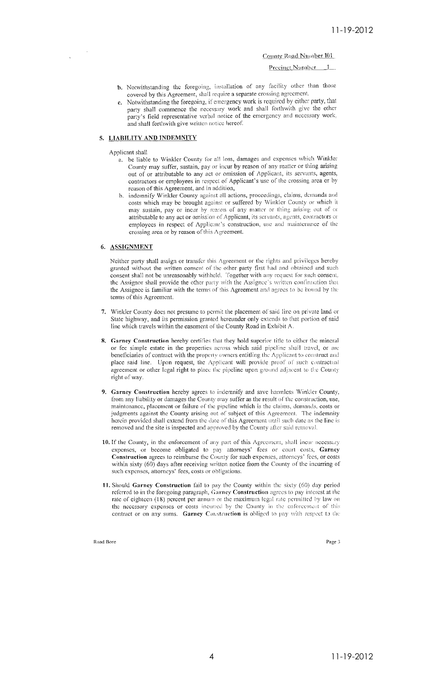Precinct Number 1

- b. Notwithstanding the foregoing, installation of any facility other than those covered by this Agreement, shall require a separate crossing agreement.
- Notwithstanding the foregoing, if emergency work is required by either party, that party shall commence the necessary work and shall forthwith give the other party's field representative verbal notice of the emergency and necessary work, and shall forthwith give written notice hereof.

# 5. LIABILITY AND INDEMNITY

Applicant shall

- a. be liable to Winkler County for all loss, damages and expenses which Winkler County may suffer, sustain, pay or incur by reason of any matter or thing arising out of or attributable to any act or omission of Applicant, its servants, agents, contractors or employees in respect of Applicant's use of the crossing area or by reason of this Agreement, and in addition,
- indemnify Winkler County against all actions, proceedings, claims, demands and  $h$ costs which may be brought against or suffered by Winkler County or which it may sustain, pay or incur by reason of any matter or thing arising out of or attributable to any act or omission of Applicant, its servants, agents, contractors or employees in respect of Applicant's construction, use and maintenance of the crossing area or by reason of this Agreement.

### 6. ASSIGNMENT

Neither party shall assign or transfer this Agreement or the rights and privileges hereby granted without the written consent of the other party first had and obtained and such consent shall not be unreasonably withheld. Together with any request for such consent, the Assignor shall provide the other party with the Assignee's written confirmation that the Assignee is familiar with the terms of this Agreement and agrees to be bound by the terms of this Agreement.

- 7. Winkler County does not presume to permit the placement of said line on private land or State highway, and its permission granted hereunder only extends to that portion of said line which travels within the easement of the County Road in Exhibit A.
- 8. Garney Construction hereby certifies that they hold superior title to either the mineral or fee simple estate in the properties across which said pipeline shall travel, or are beneficiaries of contract with the property owners entitling the Applicant to construct and place said line. Upon request, the Applicant will provide proof of such contractual agreement or other legal right to place the pipeline upon ground adjacent to the County right of way.
- 9. Garney Construction hereby agrees to indemnify and save harmless Winkler County, from any liability or damages the County may suffer as the result of the construction, use, maintenance, placement or failure of the pipeline which is the claims, demands, costs or judgments against the County arising out of subject of this Agreement. The indemnity herein provided shall extend from the date of this Agreement until such date as the line is removed and the site is inspected and approved by the County after said removal.
- 10. If the County, in the enforcement of any part of this Agreement, shall incur necessary expenses, or become obligated to pay attorneys' fees or court costs, Garney Construction agrees to reimburse the County for such expenses, attorneys' fees, or costs within sixty  $(60)$  days after receiving written notice from the County of the incurring of such expenses, attorneys' fees, costs or obligations.
- 11. Should Garney Construction fail to pay the County within the sixty (60) day period referred to in the foregoing paragraph, Garney Construction agrees to pay interest at the rate of eighteen (18) percent per annum or the maximum legal rate permitted by law on the necessary expenses or costs incurred by the County in the enforcement of this contract or on any sums. Garney Construction is obliged to pay with respect to the

Road Bore

Page 3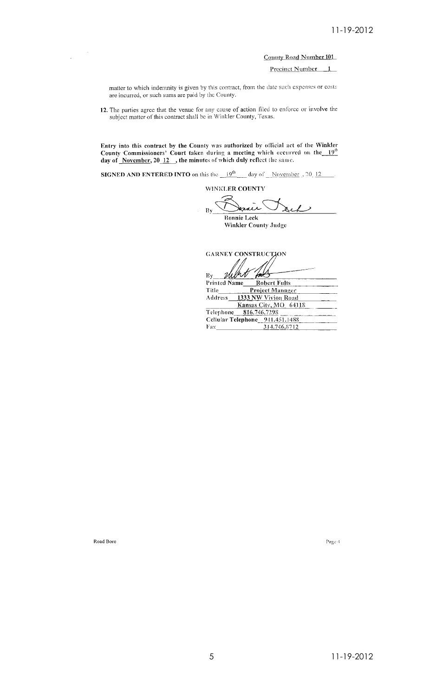Precinct Number 1

matter to which indemnity is given by this contract, from the date such expenses or costs are incurred, or such sums are paid by the County.

12. The parties agree that the venue for any cause of action filed to enforce or involve the subject matter of this contract shall be in Winkler County, Texas.

Entry into this contract by the County was authorized by official act of the Winkler<br>County Commissioners' Court taken during a meeting which occurred on the 19<sup>th</sup><br>day of <u>November</u>, 20\_12\_, the minutes of which duly ref

**SIGNED AND ENTERED INTO on this the**  $19^{th}$  day of November , 20 12

WINKLER COUNTY

 $\mathbf{R}$ **Bonnie Leck** 

Winkler County Judge

**GARNEY CONSTRUCTION** 

delhr  $\mathbf{B}$ y Printed Name **Robert Fults** 

| Title   | <b>Project Manager</b>          |
|---------|---------------------------------|
| Address | 1333 NW Vivion Road             |
|         | Kansas City, MO 64118           |
|         | Telephone 816.746.7298          |
|         | Cellular Telephone 941.451.1488 |
| Fax     | 314.746.8712                    |

Road Bore

Page  $\mathbf 4$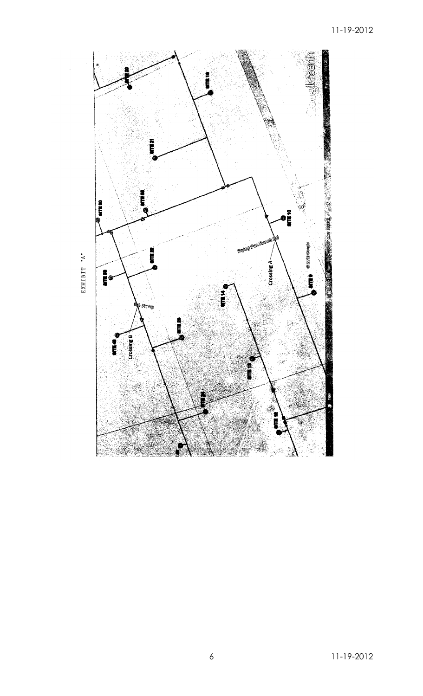

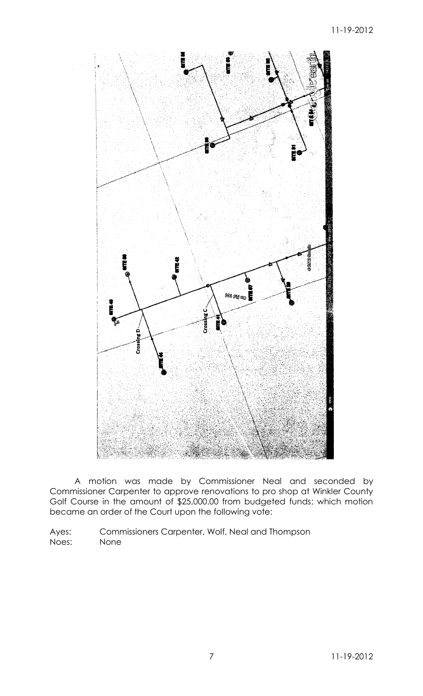

A motion was made by Commissioner Neal and seconded by Commissioner Carpenter to approve renovations to pro shop at Winkler County Golf Course in the amount of \$25,000.00 from budgeted funds; which motion became an order of the Court upon the following vote:

Ayes: Commissioners Carpenter, Wolf, Neal and Thompson Noes: None